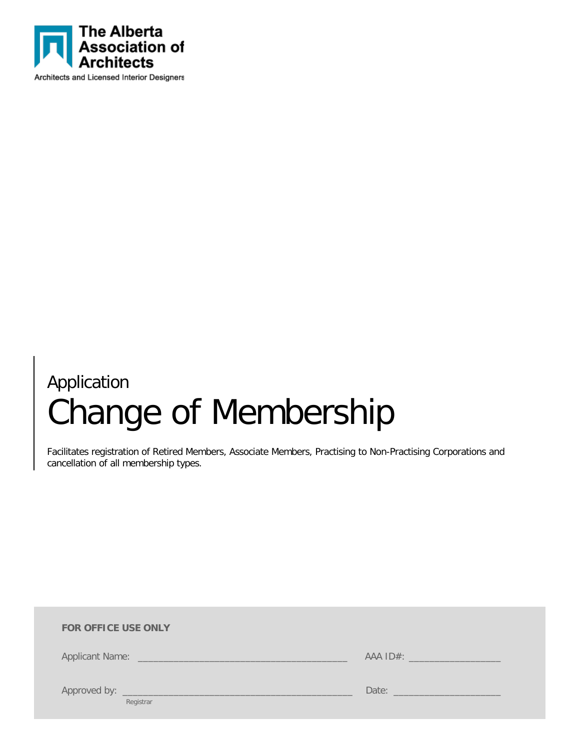

# Application Change of Membership

Facilitates registration of Retired Members, Associate Members, Practising to Non-Practising Corporations and cancellation of all membership types.

| <b>FOR OFFICE USE ONLY</b> |                                        |
|----------------------------|----------------------------------------|
|                            | AAA ID#: _______________________       |
| Registrar                  | Date: <u>Date: Electronic Property</u> |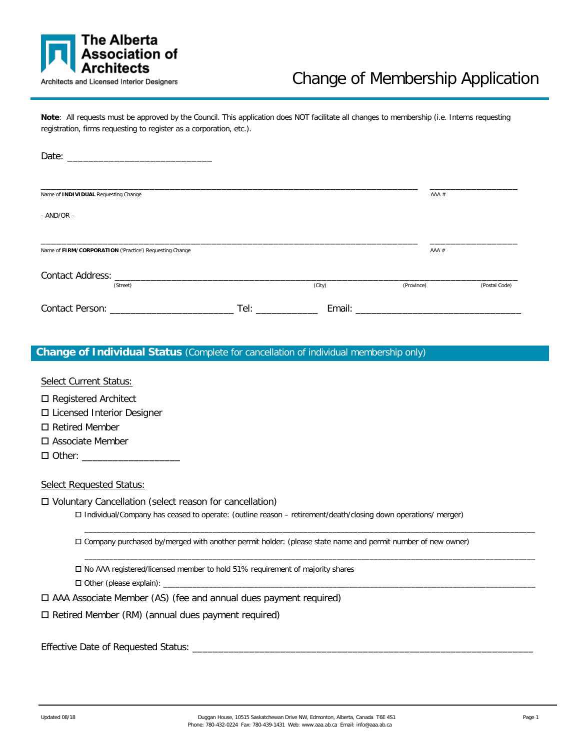

# Change of Membership Application

Note: All requests must be approved by the Council. This application does NOT facilitate all changes to membership (i.e. Interns requesting registration, firms requesting to register as a corporation, etc.).

| Name of INDIVIDUAL Requesting Change                    |                                                                                                                                                                                                                                |        | AAA #      |               |
|---------------------------------------------------------|--------------------------------------------------------------------------------------------------------------------------------------------------------------------------------------------------------------------------------|--------|------------|---------------|
| $-$ AND/OR $-$                                          |                                                                                                                                                                                                                                |        |            |               |
| Name of FIRM/CORPORATION ('Practice') Requesting Change |                                                                                                                                                                                                                                |        | $AAA \#$   |               |
| (Street)                                                |                                                                                                                                                                                                                                | (City) | (Province) | (Postal Code) |
|                                                         | Tel: and the state of the state of the state of the state of the state of the state of the state of the state of the state of the state of the state of the state of the state of the state of the state of the state of the s |        |            |               |

#### **Change of Individual Status** (Complete for cancellation of individual membership only)

Select Current Status:

□ Registered Architect

□ Licensed Interior Designer

□ Retired Member

Associate Member

 $\Box$  Other:

Select Requested Status:

Voluntary Cancellation (select reason for cancellation)

Individual/Company has ceased to operate: (outline reason – retirement/death/closing down operations/ merger)

Company purchased by/merged with another permit holder: (please state name and permit number of new owner)

\_\_\_\_\_\_\_\_\_\_\_\_\_\_\_\_\_\_\_\_\_\_\_\_\_\_\_\_\_\_\_\_\_\_\_\_\_\_\_\_\_\_\_\_\_\_\_\_\_\_\_\_\_\_\_\_\_\_\_\_\_\_\_\_\_\_\_\_\_\_\_\_\_\_\_\_\_\_\_\_\_\_\_\_\_\_\_\_\_\_\_\_\_\_\_\_\_\_\_\_\_\_\_\_\_\_\_\_\_

\_\_\_\_\_\_\_\_\_\_\_\_\_\_\_\_\_\_\_\_\_\_\_\_\_\_\_\_\_\_\_\_\_\_\_\_\_\_\_\_\_\_\_\_\_\_\_\_\_\_\_\_\_\_\_\_\_\_\_\_\_\_\_\_\_\_\_\_\_\_\_\_\_\_\_\_\_\_\_\_\_\_\_\_\_\_\_\_\_\_\_\_\_\_\_\_\_\_\_\_\_\_\_\_\_\_\_\_\_

No AAA registered/licensed member to hold 51% requirement of majority shares

 $\Box$  Other (please explain):

AAA Associate Member (AS) (fee and annual dues payment required)

 $\square$  Retired Member (RM) (annual dues payment required)

Effective Date of Requested Status: \_\_\_\_\_\_\_\_\_\_\_\_\_\_\_\_\_\_\_\_\_\_\_\_\_\_\_\_\_\_\_\_\_\_\_\_\_\_\_\_\_\_\_\_\_\_\_\_\_\_\_\_\_\_\_\_\_\_\_\_\_\_\_\_\_\_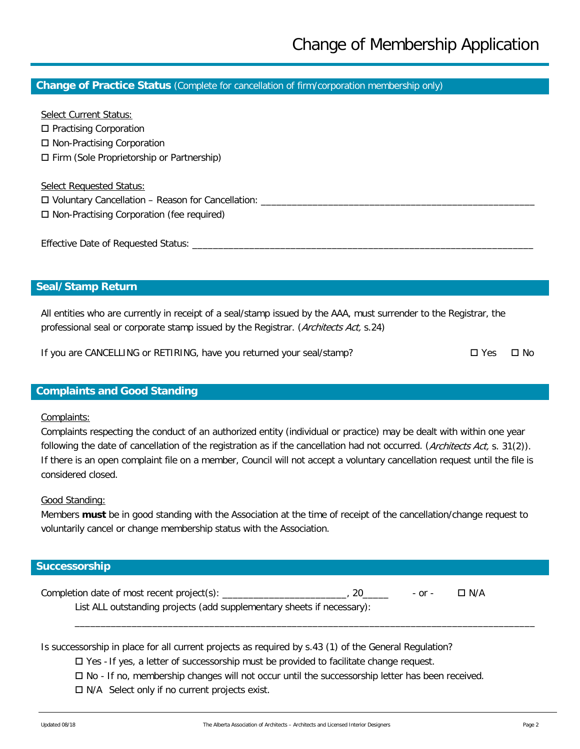#### **Change of Practice Status** (Complete for cancellation of firm/corporation membership only)

Select Current Status: □ Practising Corporation □ Non-Practising Corporation Firm (Sole Proprietorship or Partnership) Select Requested Status:

 $\square$  Voluntary Cancellation – Reason for Cancellation: □ Non-Practising Corporation (fee required)

Effective Date of Requested Status: \_\_\_\_\_\_\_\_\_\_\_\_\_\_\_\_\_\_\_\_\_\_\_\_\_\_\_\_\_\_\_\_\_\_\_\_\_\_\_\_\_\_\_\_\_\_\_\_\_\_\_\_\_\_\_\_\_\_\_\_\_\_\_\_\_\_

# **Seal/Stamp Return**

All entities who are currently in receipt of a seal/stamp issued by the AAA, must surrender to the Registrar, the professional seal or corporate stamp issued by the Registrar. (Architects Act, s.24)

If you are CANCELLING or RETIRING, have you returned your seal/stamp?  $\square$  Yes  $\square$  No

### **Complaints and Good Standing**

#### Complaints:

Complaints respecting the conduct of an authorized entity (individual or practice) may be dealt with within one year following the date of cancellation of the registration as if the cancellation had not occurred. (*Architects Act*, s. 31(2)). If there is an open complaint file on a member, Council will not accept a voluntary cancellation request until the file is considered closed.

#### Good Standing:

Members **must** be in good standing with the Association at the time of receipt of the cancellation/change request to voluntarily cancel or change membership status with the Association.

#### **Successorship**

Completion date of most recent project(s): \_\_\_\_\_\_\_\_\_\_\_\_\_\_\_\_\_\_\_\_\_\_\_\_, 20\_\_\_\_\_ - or - N/A List ALL outstanding projects (add supplementary sheets if necessary):

Is successorship in place for all current projects as required by s.43 (1) of the General Regulation?

 $\Box$  Yes - If yes, a letter of successorship must be provided to facilitate change request.

- $\Box$  No If no, membership changes will not occur until the successorship letter has been received.
- $\Box$  N/A Select only if no current projects exist.

\_\_\_\_\_\_\_\_\_\_\_\_\_\_\_\_\_\_\_\_\_\_\_\_\_\_\_\_\_\_\_\_\_\_\_\_\_\_\_\_\_\_\_\_\_\_\_\_\_\_\_\_\_\_\_\_\_\_\_\_\_\_\_\_\_\_\_\_\_\_\_\_\_\_\_\_\_\_\_\_\_\_\_\_\_\_\_\_\_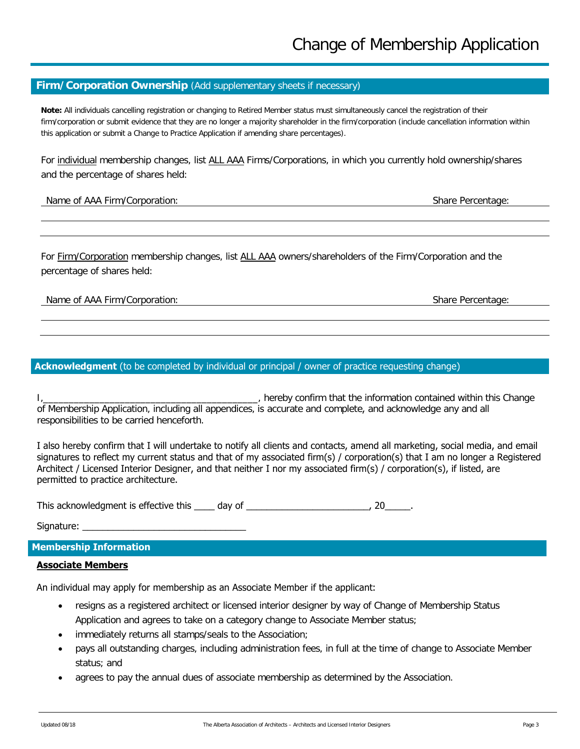### **Firm/Corporation Ownership** (Add supplementary sheets if necessary)

**Note:** All individuals cancelling registration or changing to Retired Member status must simultaneously cancel the registration of their firm/corporation or submit evidence that they are no longer a majority shareholder in the firm/corporation (include cancellation information within this application or submit a Change to Practice Application if amending share percentages).

For individual membership changes, list ALL AAA Firms/Corporations, in which you currently hold ownership/shares and the percentage of shares held:

#### Name of AAA Firm/Corporation: Share Percentage: Share Percentage: Share Percentage: Share Percentage: Share Percentage: Share Percentage: Share Percentage: Share Percentage: Share Percentage: Share Percentage: Share Percen

For Firm/Corporation membership changes, list ALL AAA owners/shareholders of the Firm/Corporation and the percentage of shares held:

#### Name of AAA Firm/Corporation: Share Percentage: Share Percentage: Share Percentage: Share Percentage: Share Percentage: Share Percentage: Share Percentage: Share Percentage: Share Percentage: Share Percentage: Share Percen

#### **Acknowledgment** (to be completed by individual or principal / owner of practice requesting change)

I, the same of the information contained within this Change is a set of the information contained within this Change of Membership Application, including all appendices, is accurate and complete, and acknowledge any and all responsibilities to be carried henceforth.

I also hereby confirm that I will undertake to notify all clients and contacts, amend all marketing, social media, and email signatures to reflect my current status and that of my associated firm(s) / corporation(s) that I am no longer a Registered Architect / Licensed Interior Designer, and that neither I nor my associated firm(s) / corporation(s), if listed, are permitted to practice architecture.

This acknowledgment is effective this \_\_\_\_ day of \_\_\_\_\_\_\_\_\_\_\_\_\_\_\_\_\_\_\_\_\_\_\_\_\_\_\_\_\_, 20

Signature:

#### **Membership Information**

#### **Associate Members**

An individual may apply for membership as an Associate Member if the applicant:

- resigns as a registered architect or licensed interior designer by way of Change of Membership Status Application and agrees to take on a category change to Associate Member status;
- immediately returns all stamps/seals to the Association;
- pays all outstanding charges, including administration fees, in full at the time of change to Associate Member status; and
- agrees to pay the annual dues of associate membership as determined by the Association.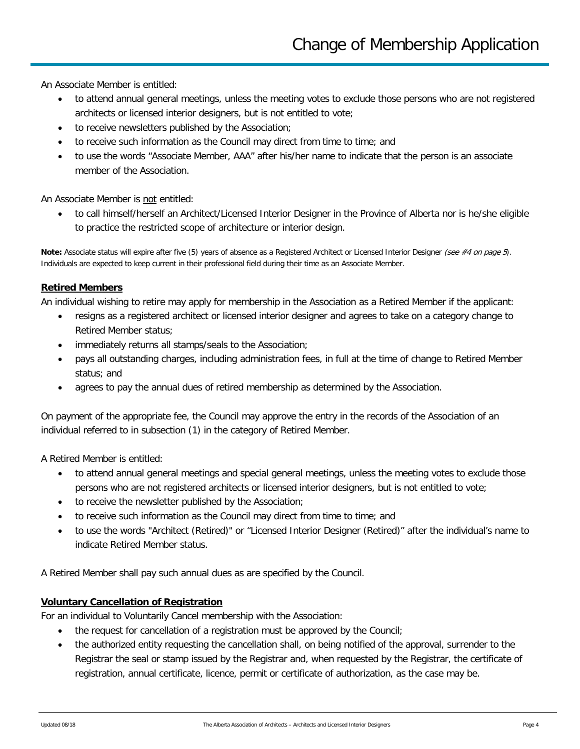An Associate Member is entitled:

- to attend annual general meetings, unless the meeting votes to exclude those persons who are not registered architects or licensed interior designers, but is not entitled to vote;
- to receive newsletters published by the Association;
- to receive such information as the Council may direct from time to time; and
- to use the words "Associate Member, AAA" after his/her name to indicate that the person is an associate member of the Association.

An Associate Member is not entitled:

• to call himself/herself an Architect/Licensed Interior Designer in the Province of Alberta nor is he/she eligible to practice the restricted scope of architecture or interior design.

**Note:** Associate status will expire after five (5) years of absence as a Registered Architect or Licensed Interior Designer (see #4 on page 5). Individuals are expected to keep current in their professional field during their time as an Associate Member.

#### **Retired Members**

An individual wishing to retire may apply for membership in the Association as a Retired Member if the applicant:

- resigns as a registered architect or licensed interior designer and agrees to take on a category change to Retired Member status;
- immediately returns all stamps/seals to the Association;
- pays all outstanding charges, including administration fees, in full at the time of change to Retired Member status; and
- agrees to pay the annual dues of retired membership as determined by the Association.

On payment of the appropriate fee, the Council may approve the entry in the records of the Association of an individual referred to in subsection (1) in the category of Retired Member.

A Retired Member is entitled:

- to attend annual general meetings and special general meetings, unless the meeting votes to exclude those persons who are not registered architects or licensed interior designers, but is not entitled to vote;
- to receive the newsletter published by the Association;
- to receive such information as the Council may direct from time to time; and
- to use the words "Architect (Retired)" or "Licensed Interior Designer (Retired)" after the individual's name to indicate Retired Member status.

A Retired Member shall pay such annual dues as are specified by the Council.

#### **Voluntary Cancellation of Registration**

For an individual to Voluntarily Cancel membership with the Association:

- the request for cancellation of a registration must be approved by the Council;
- the authorized entity requesting the cancellation shall, on being notified of the approval, surrender to the Registrar the seal or stamp issued by the Registrar and, when requested by the Registrar, the certificate of registration, annual certificate, licence, permit or certificate of authorization, as the case may be.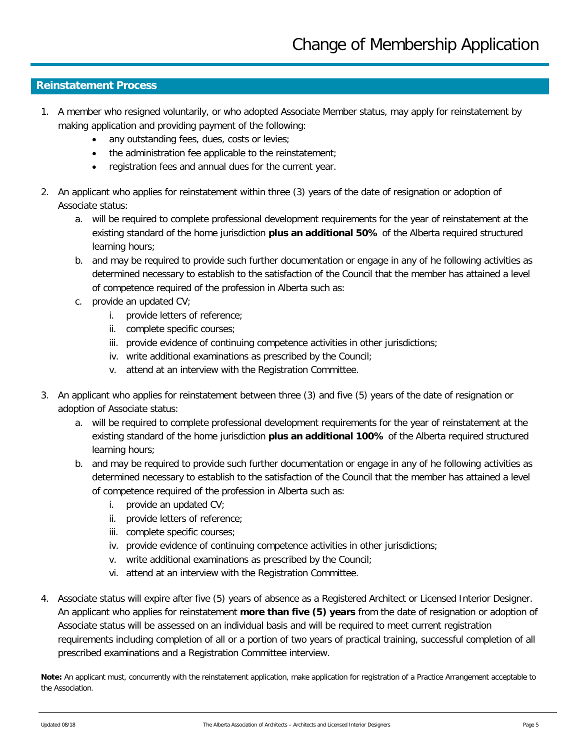# **Reinstatement Process**

- 1. A member who resigned voluntarily, or who adopted Associate Member status, may apply for reinstatement by making application and providing payment of the following:
	- any outstanding fees, dues, costs or levies;
	- the administration fee applicable to the reinstatement;
	- registration fees and annual dues for the current year.
- 2. An applicant who applies for reinstatement within three (3) years of the date of resignation or adoption of Associate status:
	- a. will be required to complete professional development requirements for the year of reinstatement at the existing standard of the home jurisdiction **plus an additional 50%** of the Alberta required structured learning hours;
	- b. and may be required to provide such further documentation or engage in any of he following activities as determined necessary to establish to the satisfaction of the Council that the member has attained a level of competence required of the profession in Alberta such as:
	- c. provide an updated CV;
		- i. provide letters of reference;
		- ii. complete specific courses;
		- iii. provide evidence of continuing competence activities in other jurisdictions;
		- iv. write additional examinations as prescribed by the Council;
		- v. attend at an interview with the Registration Committee.
- 3. An applicant who applies for reinstatement between three (3) and five (5) years of the date of resignation or adoption of Associate status:
	- a. will be required to complete professional development requirements for the year of reinstatement at the existing standard of the home jurisdiction **plus an additional 100%** of the Alberta required structured learning hours;
	- b. and may be required to provide such further documentation or engage in any of he following activities as determined necessary to establish to the satisfaction of the Council that the member has attained a level of competence required of the profession in Alberta such as:
		- i. provide an updated CV;
		- ii. provide letters of reference;
		- iii. complete specific courses;
		- iv. provide evidence of continuing competence activities in other jurisdictions;
		- v. write additional examinations as prescribed by the Council;
		- vi. attend at an interview with the Registration Committee.
- 4. Associate status will expire after five (5) years of absence as a Registered Architect or Licensed Interior Designer. An applicant who applies for reinstatement **more than five (5) years** from the date of resignation or adoption of Associate status will be assessed on an individual basis and will be required to meet current registration requirements including completion of all or a portion of two years of practical training, successful completion of all prescribed examinations and a Registration Committee interview.

**Note:** An applicant must, concurrently with the reinstatement application, make application for registration of a Practice Arrangement acceptable to the Association.